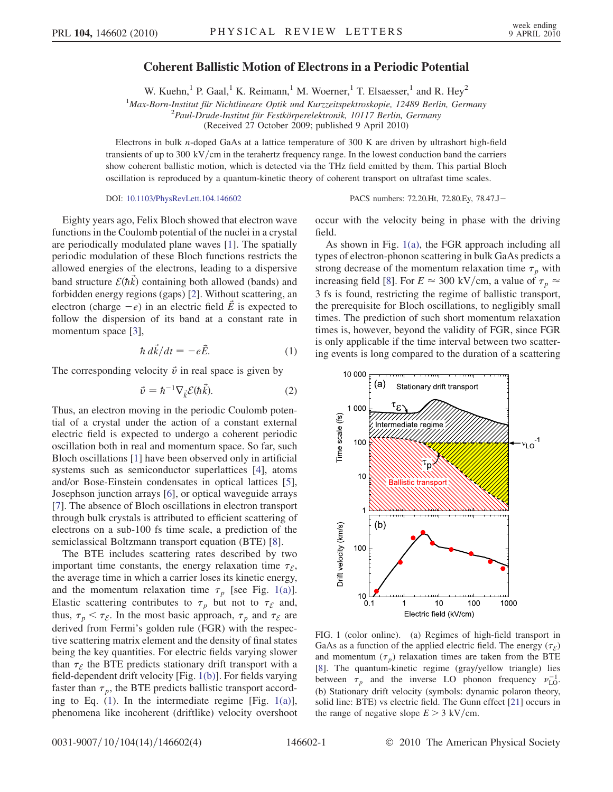## Coherent Ballistic Motion of Electrons in a Periodic Potential

W. Kuehn,<sup>1</sup> P. Gaal,<sup>1</sup> K. Reimann,<sup>1</sup> M. Woerner,<sup>1</sup> T. Elsaesser,<sup>1</sup> and R. Hey<sup>2</sup>

 $1$ Max-Born-Institut für Nichtlineare Optik und Kurzzeitspektroskopie, 12489 Berlin, Germany

<sup>2</sup> Paul-Drude-Institut für Festkörperelektronik, 10117 Berlin, Germany

(Received 27 October 2009; published 9 April 2010)

Electrons in bulk n-doped GaAs at a lattice temperature of 300 K are driven by ultrashort high-field transients of up to  $300 \text{ kV/cm}$  in the terahertz frequency range. In the lowest conduction band the carriers show coherent ballistic motion, which is detected via the THz field emitted by them. This partial Bloch oscillation is reproduced by a quantum-kinetic theory of coherent transport on ultrafast time scales.

## DOI: [10.1103/PhysRevLett.104.146602](http://dx.doi.org/10.1103/PhysRevLett.104.146602) PACS numbers: 72.20.Ht, 72.80.Ey, 78.47.J

Eighty years ago, Felix Bloch showed that electron wave functions in the Coulomb potential of the nuclei in a crystal are periodically modulated plane waves [\[1\]](#page-3-0). The spatially periodic modulation of these Bloch functions restricts the allowed energies of the electrons, leading to a dispersive band structure  $\mathcal{E}(\hbar \vec{k})$  containing both allowed (bands) and forbidden energy regions (gaps) [\[2](#page-3-1)]. Without scattering, an electron (charge  $-e$ ) in an electric field  $\vec{E}$  is expected to follow the dispersion of its band at a constant rate in momentum space [[3\]](#page-3-2),

$$
\hbar \, d\vec{k}/dt = -e\vec{E}.\tag{1}
$$

<span id="page-0-2"></span><span id="page-0-1"></span>The corresponding velocity  $\vec{v}$  in real space is given by

$$
\vec{v} = \hbar^{-1} \nabla_{\vec{k}} \mathcal{E}(\hbar \vec{k}). \tag{2}
$$

Thus, an electron moving in the periodic Coulomb potential of a crystal under the action of a constant external electric field is expected to undergo a coherent periodic oscillation both in real and momentum space. So far, such Bloch oscillations [[1\]](#page-3-0) have been observed only in artificial systems such as semiconductor superlattices [[4\]](#page-3-3), atoms and/or Bose-Einstein condensates in optical lattices [[5\]](#page-3-4), Josephson junction arrays [[6\]](#page-3-5), or optical waveguide arrays [\[7\]](#page-3-6). The absence of Bloch oscillations in electron transport through bulk crystals is attributed to efficient scattering of electrons on a sub-100 fs time scale, a prediction of the semiclassical Boltzmann transport equation (BTE) [\[8](#page-3-7)].

The BTE includes scattering rates described by two important time constants, the energy relaxation time  $\tau_{\mathcal{E}}$ , the average time in which a carrier loses its kinetic energy, and the momentum relaxation time  $\tau_p$  [see Fig. [1\(a\)\]](#page-0-0). Elastic scattering contributes to  $\tau_p$  but not to  $\tau_{\mathcal{E}}$  and, thus,  $\tau_p < \tau_{\mathcal{E}}$ . In the most basic approach,  $\tau_p$  and  $\tau_{\mathcal{E}}$  are derived from Fermi's golden rule (FGR) with the respective scattering matrix element and the density of final states being the key quantities. For electric fields varying slower than  $\tau_{\mathcal{E}}$  the BTE predicts stationary drift transport with a field-dependent drift velocity [Fig. [1\(b\)](#page-0-0)]. For fields varying faster than  $\tau_p$ , the BTE predicts ballistic transport according to Eq. [\(1\)](#page-0-1). In the intermediate regime [Fig. [1\(a\)\]](#page-0-0), phenomena like incoherent (driftlike) velocity overshoot occur with the velocity being in phase with the driving field.

As shown in Fig. [1\(a\),](#page-0-0) the FGR approach including all types of electron-phonon scattering in bulk GaAs predicts a strong decrease of the momentum relaxation time  $\tau_p$  with increasing field [[8\]](#page-3-7). For  $E \approx 300 \text{ kV/cm}$ , a value of  $\tau_p \approx$ 3 fs is found, restricting the regime of ballistic transport, the prerequisite for Bloch oscillations, to negligibly small times. The prediction of such short momentum relaxation times is, however, beyond the validity of FGR, since FGR is only applicable if the time interval between two scattering events is long compared to the duration of a scattering



<span id="page-0-0"></span>FIG. 1 (color online). (a) Regimes of high-field transport in GaAs as a function of the applied electric field. The energy  $(\tau_{\mathcal{E}})$ and momentum  $(\tau_p)$  relaxation times are taken from the BTE [\[8\]](#page-3-7). The quantum-kinetic regime (gray/yellow triangle) lies between  $\tau_p$  and the inverse LO phonon frequency  $v_{\text{LO}}^{-1}$ . (b) Stationary drift velocity (symbols: dynamic polaron theory, solid line: BTE) vs electric field. The Gunn effect [\[21\]](#page-3-8) occurs in the range of negative slope  $E > 3$  kV/cm.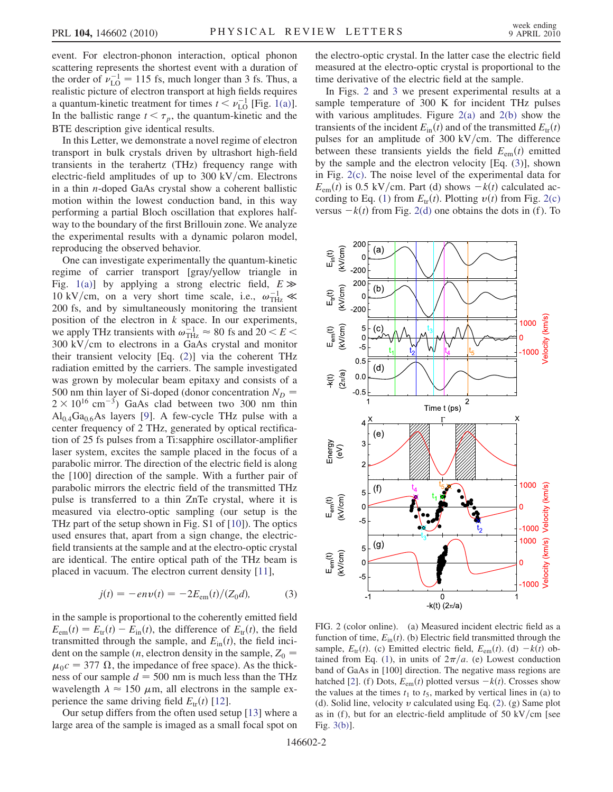event. For electron-phonon interaction, optical phonon scattering represents the shortest event with a duration of the order of  $\nu_{\text{LO}}^{-1} = 115$  fs, much longer than 3 fs. Thus, a realistic picture of electron transport at high fields requires a quantum-kinetic treatment for times  $t < \nu_{\text{LO}}^{-1}$  [Fig. [1\(a\)\]](#page-0-0). In the ballistic range  $t < \tau_p$ , the quantum-kinetic and the BTE description give identical results.

In this Letter, we demonstrate a novel regime of electron transport in bulk crystals driven by ultrashort high-field transients in the terahertz (THz) frequency range with electric-field amplitudes of up to  $300 \text{ kV/cm}$ . Electrons in a thin n-doped GaAs crystal show a coherent ballistic motion within the lowest conduction band, in this way performing a partial Bloch oscillation that explores halfway to the boundary of the first Brillouin zone. We analyze the experimental results with a dynamic polaron model, reproducing the observed behavior.

One can investigate experimentally the quantum-kinetic regime of carrier transport [gray/yellow triangle in Fig. [1\(a\)\]](#page-0-0) by applying a strong electric field,  $E \gg$ 10 kV/cm, on a very short time scale, i.e.,  $\omega_{\text{THz}}^{-1} \ll$ 200 fs, and by simultaneously monitoring the transient position of the electron in  $k$  space. In our experiments, we apply THz transients with  $\omega_{\text{THz}}^{-1} \approx 80$  fs and  $20 < E <$  $300 \text{ kV/cm}$  to electrons in a GaAs crystal and monitor their transient velocity [Eq. [\(2\)](#page-0-2)] via the coherent THz radiation emitted by the carriers. The sample investigated was grown by molecular beam epitaxy and consists of a 500 nm thin layer of Si-doped (donor concentration  $N_D$  =  $2 \times 10^{16}$  cm<sup>-3</sup>) GaAs clad between two 300 nm thin  $Al<sub>0.4</sub>Ga<sub>0.6</sub>As layers [9].$  $Al<sub>0.4</sub>Ga<sub>0.6</sub>As layers [9].$  $Al<sub>0.4</sub>Ga<sub>0.6</sub>As layers [9].$  A few-cycle THz pulse with a center frequency of 2 THz, generated by optical rectification of 25 fs pulses from a Ti:sapphire oscillator-amplifier laser system, excites the sample placed in the focus of a parabolic mirror. The direction of the electric field is along the [100] direction of the sample. With a further pair of parabolic mirrors the electric field of the transmitted THz pulse is transferred to a thin ZnTe crystal, where it is measured via electro-optic sampling (our setup is the THz part of the setup shown in Fig. S1 of [[10](#page-3-10)]). The optics used ensures that, apart from a sign change, the electricfield transients at the sample and at the electro-optic crystal are identical. The entire optical path of the THz beam is placed in vacuum. The electron current density [[11](#page-3-11)],

$$
j(t) = -en\nu(t) = -2E_{\rm em}(t)/(Z_0 d),\tag{3}
$$

<span id="page-1-2"></span>in the sample is proportional to the coherently emitted field  $E_{em}(t) = E_{tr}(t) - E_{in}(t)$ , the difference of  $E_{tr}(t)$ , the field transmitted through the sample, and  $E_{\text{in}}(t)$ , the field incident on the sample (*n*, electron density in the sample,  $Z_0$  =  $\mu_0c = 377 \Omega$ , the impedance of free space). As the thickness of our sample  $d = 500$  nm is much less than the THz wavelength  $\lambda \approx 150 \ \mu \text{m}$ , all electrons in the sample experience the same driving field  $E_{tr}(t)$  [[12\]](#page-3-12).

Our setup differs from the often used setup [[13](#page-3-13)] where a large area of the sample is imaged as a small focal spot on the electro-optic crystal. In the latter case the electric field measured at the electro-optic crystal is proportional to the time derivative of the electric field at the sample.

In Figs. [2](#page-1-0) and [3](#page-2-0) we present experimental results at a sample temperature of 300 K for incident THz pulses with various amplitudes. Figure  $2(a)$  and  $2(b)$  show the transients of the incident  $E_{\text{in}}(t)$  and of the transmitted  $E_{\text{tr}}(t)$ pulses for an amplitude of 300 kV/cm. The difference between these transients yields the field  $E_{em}(t)$  emitted by the sample and the electron velocity [Eq. [\(3\)](#page-1-2)], shown in Fig. [2\(c\).](#page-1-1) The noise level of the experimental data for  $E_{\text{em}}(t)$  is 0.5 kV/cm. Part (d) shows  $-k(t)$  calculated ac-cording to Eq. ([1](#page-0-1)) from  $E_{tr}(t)$ . Plotting  $v(t)$  from Fig. [2\(c\)](#page-1-1) versus  $-k(t)$  from Fig. [2\(d\)](#page-1-1) one obtains the dots in (f). To

<span id="page-1-0"></span>

<span id="page-1-1"></span>FIG. 2 (color online). (a) Measured incident electric field as a function of time,  $E_{\text{in}}(t)$ . (b) Electric field transmitted through the sample,  $E_{tr}(t)$ . (c) Emitted electric field,  $E_{em}(t)$ . (d)  $-k(t)$  ob-tained from Eq. [\(1](#page-0-1)), in units of  $2\pi/a$ . (e) Lowest conduction band of GaAs in [100] direction. The negative mass regions are hatched [\[2](#page-3-1)]. (f) Dots,  $E_{em}(t)$  plotted versus  $-k(t)$ . Crosses show the values at the times  $t_1$  to  $t_5$ , marked by vertical lines in (a) to (d). Solid line, velocity  $v$  calculated using Eq. ([2](#page-0-2)). (g) Same plot as in (f), but for an electric-field amplitude of 50 kV/cm [see Fig. [3\(b\)\]](#page-2-1).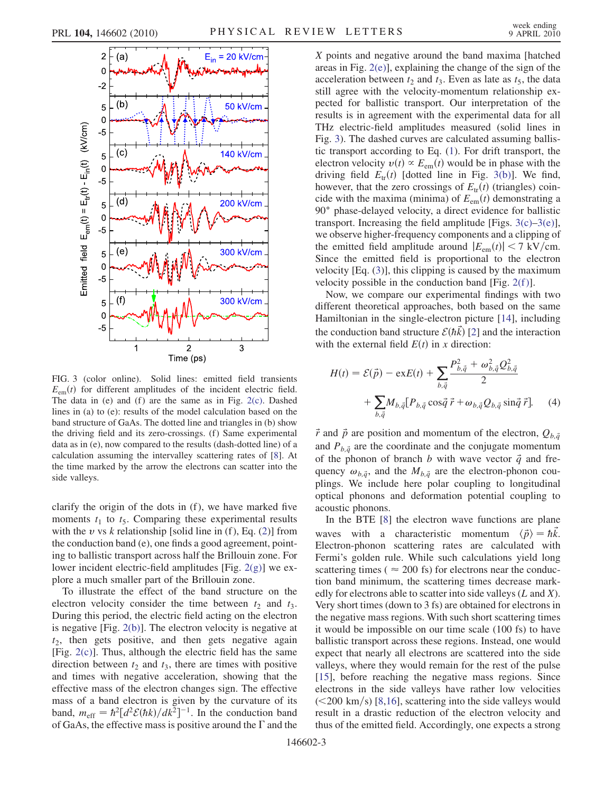<span id="page-2-0"></span>

<span id="page-2-1"></span>FIG. 3 (color online). Solid lines: emitted field transients  $E_{em}(t)$  for different amplitudes of the incident electric field. The data in (e) and (f) are the same as in Fig.  $2(c)$ . Dashed lines in (a) to (e): results of the model calculation based on the band structure of GaAs. The dotted line and triangles in (b) show the driving field and its zero-crossings. (f) Same experimental data as in (e), now compared to the results (dash-dotted line) of a calculation assuming the intervalley scattering rates of [[8](#page-3-7)]. At the time marked by the arrow the electrons can scatter into the side valleys.

clarify the origin of the dots in  $(f)$ , we have marked five moments  $t_1$  to  $t_5$ . Comparing these experimental results with the v vs k relationship [solid line in  $(f)$ , Eq.  $(2)$  $(2)$  $(2)$ ] from the conduction band (e), one finds a good agreement, pointing to ballistic transport across half the Brillouin zone. For lower incident electric-field amplitudes [Fig. [2\(g\)\]](#page-1-1) we explore a much smaller part of the Brillouin zone.

To illustrate the effect of the band structure on the electron velocity consider the time between  $t_2$  and  $t_3$ . During this period, the electric field acting on the electron is negative [Fig. [2\(b\)](#page-1-1)]. The electron velocity is negative at  $t_2$ , then gets positive, and then gets negative again [Fig. [2\(c\)](#page-1-1)]. Thus, although the electric field has the same direction between  $t_2$  and  $t_3$ , there are times with positive and times with negative acceleration, showing that the effective mass of the electron changes sign. The effective mass of a band electron is given by the curvature of its band,  $m_{\text{eff}} = \hbar^2 [d^2 \mathcal{E}(\hbar k)/dk^2]^{-1}$ . In the conduction band of GaAs, the effective mass is positive around the  $\Gamma$  and the X points and negative around the band maxima [hatched areas in Fig. [2\(e\)\]](#page-1-1), explaining the change of the sign of the acceleration between  $t_2$  and  $t_3$ . Even as late as  $t_5$ , the data still agree with the velocity-momentum relationship expected for ballistic transport. Our interpretation of the results is in agreement with the experimental data for all THz electric-field amplitudes measured (solid lines in Fig. [3\)](#page-2-0). The dashed curves are calculated assuming ballistic transport according to Eq. ([1\)](#page-0-1). For drift transport, the electron velocity  $v(t) \propto E_{em}(t)$  would be in phase with the driving field  $E_{tr}(t)$  [dotted line in Fig. [3\(b\)\]](#page-2-1). We find, however, that the zero crossings of  $E_{tr}(t)$  (triangles) coincide with the maxima (minima) of  $E_{em}(t)$  demonstrating a 90 $^{\circ}$  phase-delayed velocity, a direct evidence for ballistic transport. Increasing the field amplitude [Figs.  $3(c)$ – $3(e)$ ], we observe higher-frequency components and a clipping of the emitted field amplitude around  $|E_{em}(t)| < 7$  kV/cm. Since the emitted field is proportional to the electron velocity [Eq. [\(3\)](#page-1-2)], this clipping is caused by the maximum velocity possible in the conduction band [Fig.  $2(f)$ ].

Now, we compare our experimental findings with two different theoretical approaches, both based on the same Hamiltonian in the single-electron picture [\[14\]](#page-3-14), including the conduction band structure  $\mathcal{E}(\hbar k)$  [[2](#page-3-1)] and the interaction with the external field  $E(t)$  in x direction:

$$
H(t) = \mathcal{E}(\vec{p}) - \text{ex}E(t) + \sum_{b,\vec{q}} \frac{P_{b,\vec{q}}^2 + \omega_{b,\vec{q}}^2 Q_{b,\vec{q}}^2}{2} + \sum_{b,\vec{q}} M_{b,\vec{q}} [P_{b,\vec{q}} \cos \vec{q} \ \vec{r} + \omega_{b,\vec{q}} Q_{b,\vec{q}} \sin \vec{q} \ \vec{r}]. \tag{4}
$$

 $\vec{r}$  and  $\vec{p}$  are position and momentum of the electron,  $Q_{b,\vec{q}}$ and  $P_{b,\vec{a}}$  are the coordinate and the conjugate momentum of the phonon of branch b with wave vector  $\vec{q}$  and frequency  $\omega_{b,\vec{q}}$ , and the  $M_{b,\vec{q}}$  are the electron-phonon couplings. We include here polar coupling to longitudinal optical phonons and deformation potential coupling to acoustic phonons.

In the BTE [[8](#page-3-7)] the electron wave functions are plane waves with a characteristic momentum  $\langle \vec{p} \rangle = \hbar k$ . Electron-phonon scattering rates are calculated with Fermi's golden rule. While such calculations yield long scattering times ( $\approx 200$  fs) for electrons near the conduction band minimum, the scattering times decrease markedly for electrons able to scatter into side valleys  $(L \text{ and } X)$ . Very short times (down to 3 fs) are obtained for electrons in the negative mass regions. With such short scattering times it would be impossible on our time scale (100 fs) to have ballistic transport across these regions. Instead, one would expect that nearly all electrons are scattered into the side valleys, where they would remain for the rest of the pulse [\[15\]](#page-3-15), before reaching the negative mass regions. Since electrons in the side valleys have rather low velocities  $(<200 \text{ km/s})$  [[8](#page-3-7),[16](#page-3-16)], scattering into the side valleys would result in a drastic reduction of the electron velocity and thus of the emitted field. Accordingly, one expects a strong